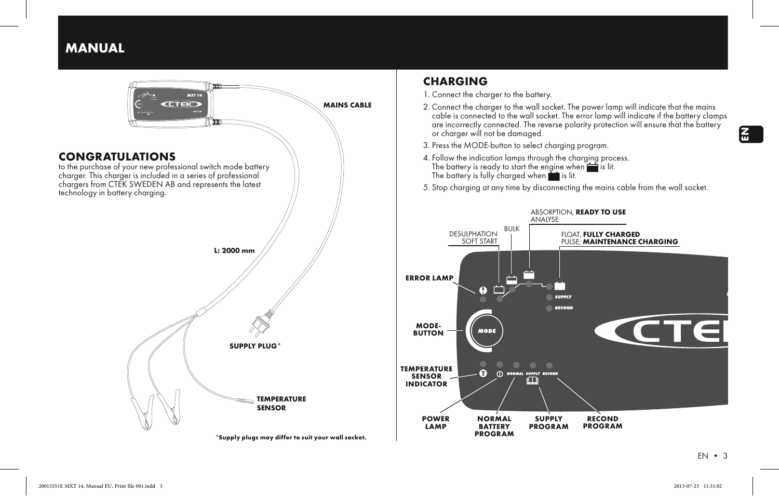MANUAL



# **CHARGING**

1. Connect the charger to the battery.

- 2. Connect the charger to the wall socket. The power lamp will indicate that the mains cable is connected to the wall socket. The error lamp will indicate if the battery clamps are incorrectly connected. The reverse polarity protection will ensure that the battery or charger will not be damaged.
- 3. Press the MODE-button to select charaina program.
- 4. Follow the indication lamps through the charging process. The battery is ready to start the engine when  $\equiv$  is lit. The battery is fully charged when  $\blacksquare$  is lit.
- 5. Stop charging at any time by disconnecting the mains cable from the wall socket.



EN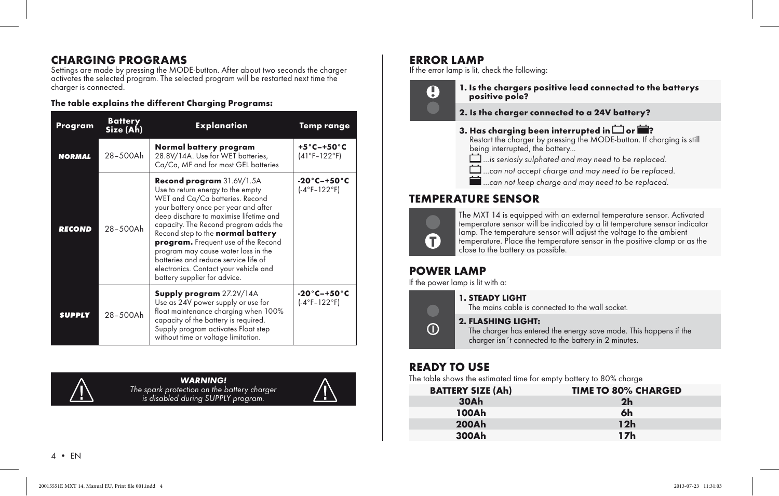# CHARGING programs

Settings are made by pressing the MODE-button. After about two seconds the charger activates the selected program. The selected program will be restarted next time the charger is connected.

## The table explains the different Charging Programs:

| Program       | <b>Battery</b><br>Size (Ah) | <b>Explanation</b>                                                                                                                                                                                                                                                                                                                                                                                                                                               | <b>Temp range</b>                                 |
|---------------|-----------------------------|------------------------------------------------------------------------------------------------------------------------------------------------------------------------------------------------------------------------------------------------------------------------------------------------------------------------------------------------------------------------------------------------------------------------------------------------------------------|---------------------------------------------------|
| <b>NORMAL</b> | 28-500Ah                    | Normal battery program<br>28.8V/14A. Use for WET batteries,<br>Ca/Ca, MF and for most GEL batteries                                                                                                                                                                                                                                                                                                                                                              | $+5^{\circ}$ C-+50 $^{\circ}$ C<br>$(41°F-122°F)$ |
| <b>RECOND</b> | 28-500Ah                    | Recond program 31.6V/1.5A<br>Use to return energy to the empty<br>WET and Ca/Ca batteries. Recond<br>your battery once per year and after<br>deep dischare to maximise lifetime and<br>capacity. The Recond program adds the<br>Recond step to the normal battery<br>program. Frequent use of the Recond<br>program may cause water loss in the<br>batteries and reduce service life of<br>electronics. Contact your vehicle and<br>battery supplier for advice. | -20°C-+50°C<br>$(-4°F-122°F)$                     |
| <b>SUPPLY</b> | 28-500Ah                    | <b>Supply program</b> 27.2V/14A<br>Use as 24V power supply or use for<br>float maintenance charging when 100%<br>capacity of the battery is required.<br>Supply program activates Float step<br>without time or voltage limitation.                                                                                                                                                                                                                              | $-20^\circ$ C $-+50^\circ$ C<br>$(-4°F-122°F)$    |



*WARNING! The spark protection on the battery charger is disabled during SUPPLY program.*



# ERROR LAMP

If the error lamp is lit, check the following:



1. Is the chargers positive lead connected to the batterys positive pole?

- 2. Is the charger connected to a 24V battery?
- 3. Has charging been interrupted in  $\Box$  or  $\blacksquare$ ?

Restart the charger by pressing the MODE-button. If charging is still being interrupted, the battery...

- *<u>d</u> ... is seriosly sulphated and may need to be replaced.*
- **1** ...can not accept charge and may need to be replaced.
- *m ...can not keep charge and may need to be replaced.*

# TEMPERATURE SENSOR



 $\bigcirc$ 

The MXT 14 is equipped with an external temperature sensor. Activated temperature sensor will be indicated by a lit temperature sensor indicator lamp. The temperature sensor will adjust the voltage to the ambient temperature. Place the temperature sensor in the positive clamp or as the close to the battery as possible.

# POWER LAMP

If the power lamp is lit with a:

### 1. STEADY LIGHT

The mains cable is connected to the wall socket.

#### 2. FLASHING LIGHT:

The charger has entered the energy save mode. This happens if the charger isn´t connected to the battery in 2 minutes.

# READY TO USE

The table shows the estimated time for empty battery to 80% charge

| <b>BATTERY SIZE (Ah)</b> | <b>TIME TO 80% CHARGED</b> |
|--------------------------|----------------------------|
| 30Ah                     | 2 <sub>h</sub>             |
| 100Ah                    | 6h                         |
| <b>200Ah</b>             | 12h                        |
| 300Ah                    | 17 <sub>h</sub>            |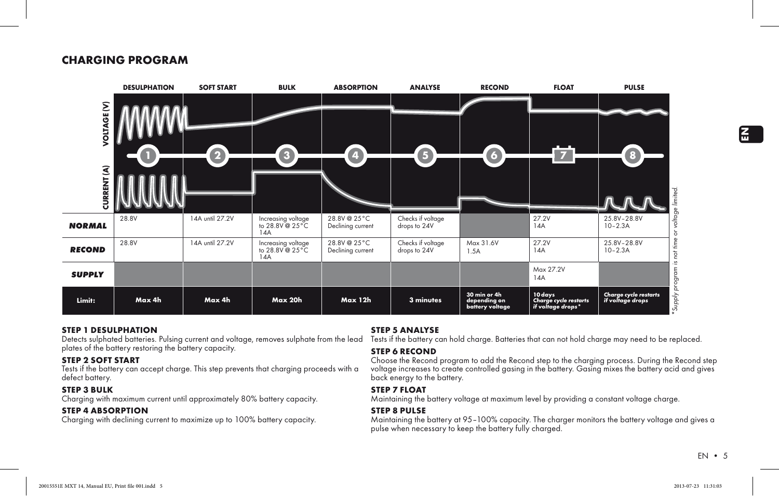# CHARGING PROGRAM



#### STEP 1 desulphation

Detects sulphated batteries. Pulsing current and voltage, removes sulphate from the lead plates of the battery restoring the battery capacity.

#### STEP 2 soft start

Tests if the battery can accept charge. This step prevents that charging proceeds with a defect battery.

#### STEP 3 bulk

Charging with maximum current until approximately 80% battery capacity.

#### STEP 4 absorption

Charging with declining current to maximize up to 100% battery capacity.

#### STEP 5 analysE

Tests if the battery can hold charge. Batteries that can not hold charge may need to be replaced.

#### STEP 6 recond

Choose the Recond program to add the Recond step to the charging process. During the Recond step voltage increases to create controlled gasing in the battery. Gasing mixes the battery acid and gives back energy to the battery.

#### STEP 7 float

Maintaining the battery voltage at maximum level by providing a constant voltage charge.

#### STEP 8 pulse

Maintaining the battery at 95–100% capacity. The charger monitors the battery voltage and gives a pulse when necessary to keep the battery fully charged.

 $EN \cdot 5$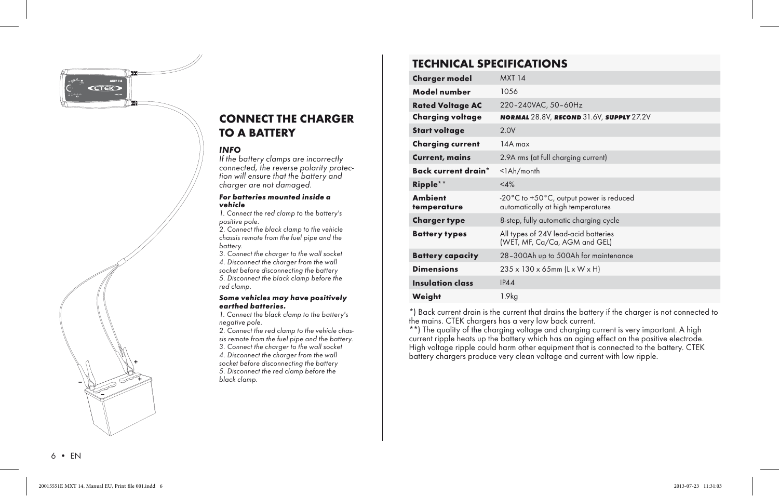*MXT 14*



### *INFO*

*If the battery clamps are incorrectly connected, the reverse polarity protection will ensure that the battery and charger are not damaged.*

#### *For batteries mounted inside a vehicle*

*1. Connect the red clamp to the battery's positive pole.*

*2. Connect the black clamp to the vehicle chassis remote from the fuel pipe and the battery.*

*3. Connect the charger to the wall socket 4. Disconnect the charger from the wall socket before disconnecting the battery 5. Disconnect the black clamp before the red clamp.*

#### *Some vehicles may have positively earthed batteries.*

*1. Connect the black clamp to the battery's negative pole.*

*2. Connect the red clamp to the vehicle chassis remote from the fuel pipe and the battery. 3. Connect the charger to the wall socket 4. Disconnect the charger from the wall* 

*socket before disconnecting the battery 5. Disconnect the red clamp before the*  + *black clamp.*

# TECHNICAL SPECIFICATIONS

| <b>Charger model</b>          | <b>MXT 14</b>                                                                                     |
|-------------------------------|---------------------------------------------------------------------------------------------------|
| Model number                  | 10.56                                                                                             |
| <b>Rated Voltage AC</b>       | 220-240VAC, 50-60Hz                                                                               |
| Charging voltage              | NORMAL 28.8V, RECOND 31.6V, SUPPLY 27.2V                                                          |
| <b>Start voltage</b>          | 2.0V                                                                                              |
| <b>Charging current</b>       | $14A$ max                                                                                         |
| <b>Current, mains</b>         | 2.9A rms (at full charging current)                                                               |
| Back current drain*           | $<$ l $Ah/m$ onth                                                                                 |
| $Ripple**$                    | <4%                                                                                               |
| <b>Ambient</b><br>temperature | $-20^{\circ}$ C to $+50^{\circ}$ C, output power is reduced<br>automatically at high temperatures |
| <b>Charger type</b>           | 8-step, fully automatic charging cycle                                                            |
| <b>Battery types</b>          | All types of 24V lead-acid batteries<br>(WET, MF, Ca/Ca, AGM and GEL)                             |
| <b>Battery capacity</b>       | 28-300Ah up to 500Ah for maintenance                                                              |
| <b>Dimensions</b>             | 235 x 130 x 65mm (L x W x H)                                                                      |
| Insulation class              | IP44                                                                                              |
| Weight                        | 1.9kg                                                                                             |

\*) Back current drain is the current that drains the battery if the charger is not connected to the mains. CTEK chargers has a very low back current.

\*\*) The quality of the charging voltage and charging current is very important. A high current ripple heats up the battery which has an aging effect on the positive electrode. High voltage ripple could harm other equipment that is connected to the battery. CTEK battery chargers produce very clean voltage and current with low ripple.

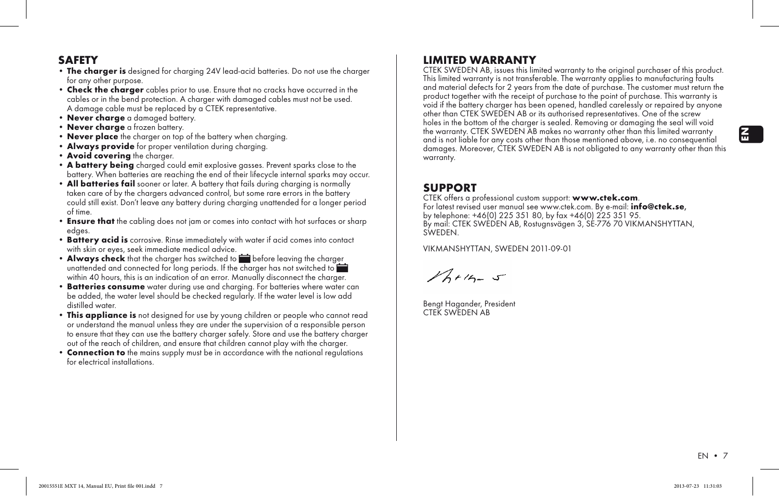# **SAFFTY**

- The charger is designed for charging 24V lead-acid batteries. Do not use the charger for any other purpose.
- Check the charger cables prior to use. Ensure that no cracks have occurred in the cables or in the bend protection. A charger with damaged cables must not be used. A damage cable must be replaced by a CTEK representative.
- Never charge a damaged battery.
- Never charge a frozen battery.
- Never place the charger on top of the battery when charaina.
- Always provide for proper ventilation during charging.
- Avoid covering the charger.
- A battery being charged could emit explosive gasses. Prevent sparks close to the battery. When batteries are reaching the end of their lifecycle internal sparks may occur.
- All batteries fail sooner or later. A battery that fails during charging is normally taken care of by the chargers advanced control, but some rare errors in the battery could still exist. Don't leave any battery during charging unattended for a longer period of time.
- Ensure that the cabling does not jam or comes into contact with hot surfaces or sharp edges.
- Battery acid is corrosive. Rinse immediately with water if acid comes into contact with skin or eyes, seek immediate medical advice.
- Always check that the charger has switched to **before leaving the charger** unattended and connected for long periods. If the charger has not switched to within 40 hours, this is an indication of an error. Manually disconnect the charger.
- Batteries consume water during use and charging. For batteries where water can be added, the water level should be checked regularly. If the water level is low add distilled water.
- This appliance is not designed for use by young children or people who cannot read or understand the manual unless they are under the supervision of a responsible person to ensure that they can use the battery charger safely. Store and use the battery charger out of the reach of children, and ensure that children cannot play with the charger.
- **Connection to** the mains supply must be in accordance with the national regulations for electrical installations.

# LIMITED WARRANTY

CTEK SWEDEN AB, issues this limited warranty to the original purchaser of this product. This limited warranty is not transferable. The warranty applies to manufacturing faults and material defects for 2 years from the date of purchase. The customer must return the product together with the receipt of purchase to the point of purchase. This warranty is void if the battery charger has been opened, handled carelessly or repaired by anyone other than CTEK SWEDEN AB or its authorised representatives. One of the screw holes in the bottom of the charger is sealed. Removing or damaging the seal will void the warranty. CTEK SWEDEN AB makes no warranty other than this limited warranty and is not liable for any costs other than those mentioned above, i.e. no consequential damages. Moreover, CTEK SWEDEN AB is not obligated to any warranty other than this warranty.

**SUPPORT**<br>CTEK offers a professional custom support: www.ctek.com. For latest revised user manual see www.ctek.com. By e-mail: **info@ctek.se**, by telephone: +46(0) 225 351 80, by fax +46(0) 225 351 95. By mail: CTEK SWEDEN AB, Rostugnsvägen 3, SE-776 70 VIKMANSHYTTAN, **SWEDEN** 

VIKMANSHYTTAN, SWEDEN 2011-09-01

 $16 + 15 - 5$ 

Bengt Hagander, President CTEK SWEDEN AB